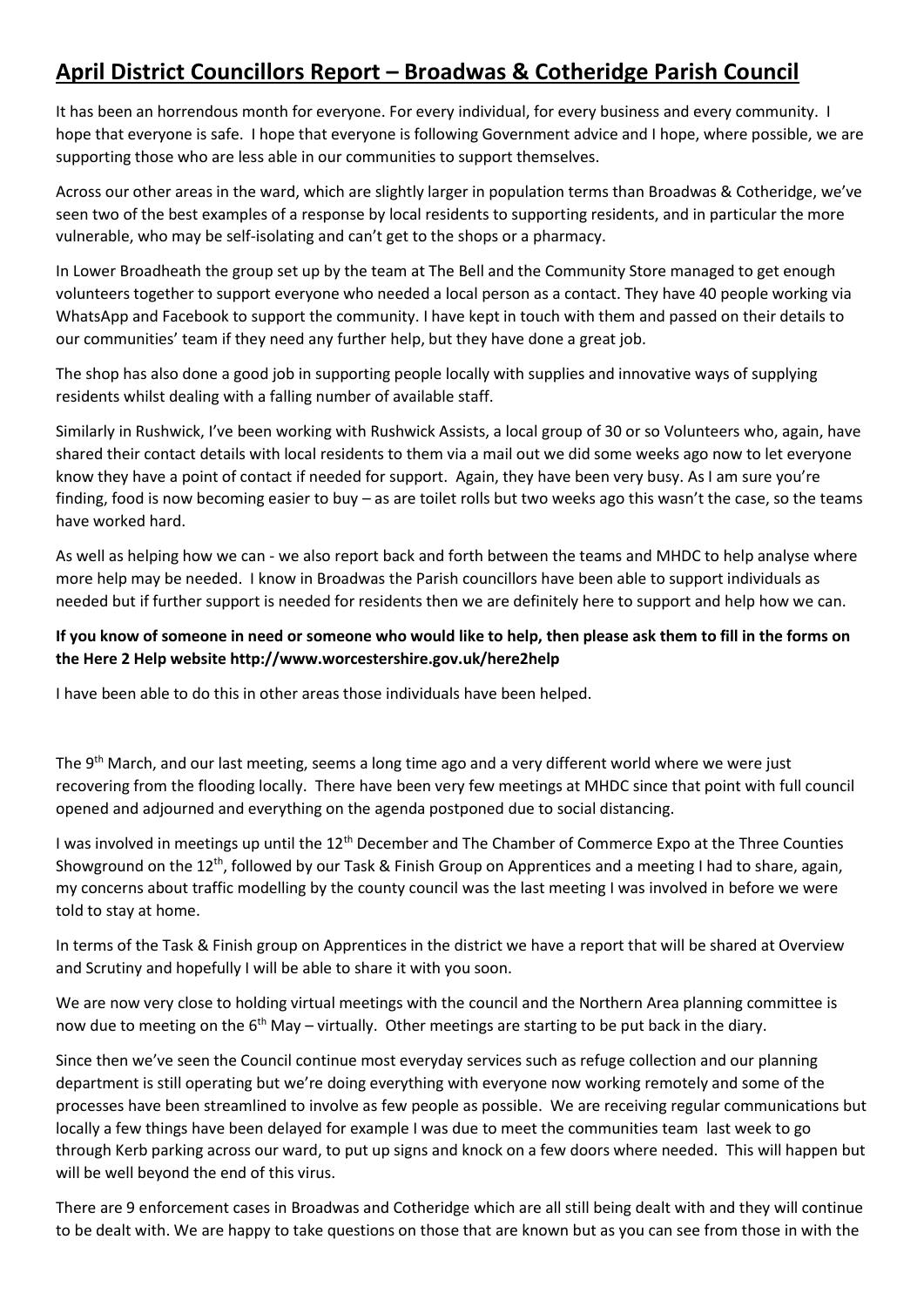## **April District Councillors Report – Broadwas & Cotheridge Parish Council**

It has been an horrendous month for everyone. For every individual, for every business and every community. I hope that everyone is safe. I hope that everyone is following Government advice and I hope, where possible, we are supporting those who are less able in our communities to support themselves.

Across our other areas in the ward, which are slightly larger in population terms than Broadwas & Cotheridge, we've seen two of the best examples of a response by local residents to supporting residents, and in particular the more vulnerable, who may be self-isolating and can't get to the shops or a pharmacy.

In Lower Broadheath the group set up by the team at The Bell and the Community Store managed to get enough volunteers together to support everyone who needed a local person as a contact. They have 40 people working via WhatsApp and Facebook to support the community. I have kept in touch with them and passed on their details to our communities' team if they need any further help, but they have done a great job.

The shop has also done a good job in supporting people locally with supplies and innovative ways of supplying residents whilst dealing with a falling number of available staff.

Similarly in Rushwick, I've been working with Rushwick Assists, a local group of 30 or so Volunteers who, again, have shared their contact details with local residents to them via a mail out we did some weeks ago now to let everyone know they have a point of contact if needed for support. Again, they have been very busy. As I am sure you're finding, food is now becoming easier to buy – as are toilet rolls but two weeks ago this wasn't the case, so the teams have worked hard.

As well as helping how we can - we also report back and forth between the teams and MHDC to help analyse where more help may be needed. I know in Broadwas the Parish councillors have been able to support individuals as needed but if further support is needed for residents then we are definitely here to support and help how we can.

## **If you know of someone in need or someone who would like to help, then please ask them to fill in the forms on the Here 2 Help website http://www.worcestershire.gov.uk/here2help**

I have been able to do this in other areas those individuals have been helped.

The 9<sup>th</sup> March, and our last meeting, seems a long time ago and a very different world where we were just recovering from the flooding locally. There have been very few meetings at MHDC since that point with full council opened and adjourned and everything on the agenda postponed due to social distancing.

I was involved in meetings up until the 12<sup>th</sup> December and The Chamber of Commerce Expo at the Three Counties Showground on the 12<sup>th</sup>, followed by our Task & Finish Group on Apprentices and a meeting I had to share, again, my concerns about traffic modelling by the county council was the last meeting I was involved in before we were told to stay at home.

In terms of the Task & Finish group on Apprentices in the district we have a report that will be shared at Overview and Scrutiny and hopefully I will be able to share it with you soon.

We are now very close to holding virtual meetings with the council and the Northern Area planning committee is now due to meeting on the  $6<sup>th</sup>$  May – virtually. Other meetings are starting to be put back in the diary.

Since then we've seen the Council continue most everyday services such as refuge collection and our planning department is still operating but we're doing everything with everyone now working remotely and some of the processes have been streamlined to involve as few people as possible. We are receiving regular communications but locally a few things have been delayed for example I was due to meet the communities team last week to go through Kerb parking across our ward, to put up signs and knock on a few doors where needed. This will happen but will be well beyond the end of this virus.

There are 9 enforcement cases in Broadwas and Cotheridge which are all still being dealt with and they will continue to be dealt with. We are happy to take questions on those that are known but as you can see from those in with the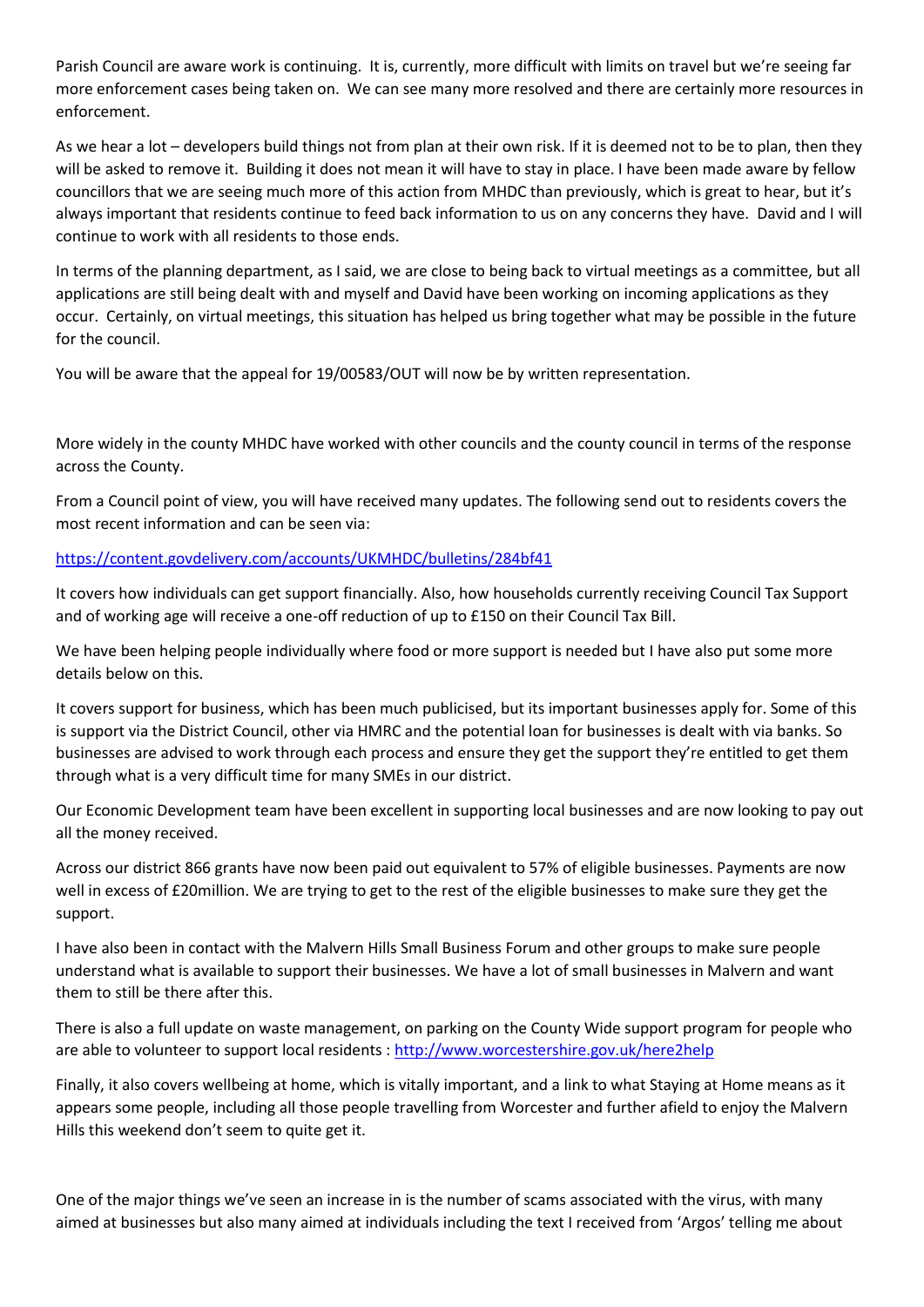Parish Council are aware work is continuing. It is, currently, more difficult with limits on travel but we're seeing far more enforcement cases being taken on. We can see many more resolved and there are certainly more resources in enforcement.

As we hear a lot – developers build things not from plan at their own risk. If it is deemed not to be to plan, then they will be asked to remove it. Building it does not mean it will have to stay in place. I have been made aware by fellow councillors that we are seeing much more of this action from MHDC than previously, which is great to hear, but it's always important that residents continue to feed back information to us on any concerns they have. David and I will continue to work with all residents to those ends.

In terms of the planning department, as I said, we are close to being back to virtual meetings as a committee, but all applications are still being dealt with and myself and David have been working on incoming applications as they occur. Certainly, on virtual meetings, this situation has helped us bring together what may be possible in the future for the council.

You will be aware that the appeal for 19/00583/OUT will now be by written representation.

More widely in the county MHDC have worked with other councils and the county council in terms of the response across the County.

From a Council point of view, you will have received many updates. The following send out to residents covers the most recent information and can be seen via:

## <https://content.govdelivery.com/accounts/UKMHDC/bulletins/284bf41>

It covers how individuals can get support financially. Also, how households currently receiving Council Tax Support and of working age will receive a one-off reduction of up to £150 on their Council Tax Bill.

We have been helping people individually where food or more support is needed but I have also put some more details below on this.

It covers support for business, which has been much publicised, but its important businesses apply for. Some of this is support via the District Council, other via HMRC and the potential loan for businesses is dealt with via banks. So businesses are advised to work through each process and ensure they get the support they're entitled to get them through what is a very difficult time for many SMEs in our district.

Our Economic Development team have been excellent in supporting local businesses and are now looking to pay out all the money received.

Across our district 866 grants have now been paid out equivalent to 57% of eligible businesses. Payments are now well in excess of £20million. We are trying to get to the rest of the eligible businesses to make sure they get the support.

I have also been in contact with the Malvern Hills Small Business Forum and other groups to make sure people understand what is available to support their businesses. We have a lot of small businesses in Malvern and want them to still be there after this.

There is also a full update on waste management, on parking on the County Wide support program for people who are able to volunteer to support local residents :<http://www.worcestershire.gov.uk/here2help>

Finally, it also covers wellbeing at home, which is vitally important, and a link to what Staying at Home means as it appears some people, including all those people travelling from Worcester and further afield to enjoy the Malvern Hills this weekend don't seem to quite get it.

One of the major things we've seen an increase in is the number of scams associated with the virus, with many aimed at businesses but also many aimed at individuals including the text I received from 'Argos' telling me about